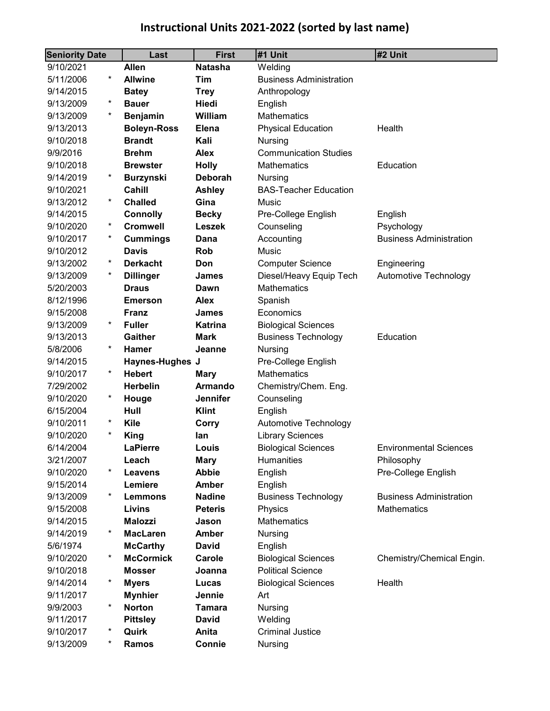# **Instructional Units 2021-2022 (sorted by last name)**

| <b>Seniority Date</b> |           | Last                   | <b>First</b>    | #1 Unit                        | #2 Unit                        |
|-----------------------|-----------|------------------------|-----------------|--------------------------------|--------------------------------|
| 9/10/2021             |           | <b>Allen</b>           | <b>Natasha</b>  | Welding                        |                                |
| 5/11/2006             | $^\star$  | <b>Allwine</b>         | Tim             | <b>Business Administration</b> |                                |
| 9/14/2015             |           | <b>Batey</b>           | <b>Trey</b>     | Anthropology                   |                                |
| 9/13/2009             | $^\star$  | <b>Bauer</b>           | Hiedi           | English                        |                                |
| 9/13/2009             | $^\ast$   | <b>Benjamin</b>        | William         | <b>Mathematics</b>             |                                |
| 9/13/2013             |           | <b>Boleyn-Ross</b>     | <b>Elena</b>    | <b>Physical Education</b>      | Health                         |
| 9/10/2018             |           | <b>Brandt</b>          | Kali            | Nursing                        |                                |
| 9/9/2016              |           | <b>Brehm</b>           | <b>Alex</b>     | <b>Communication Studies</b>   |                                |
| 9/10/2018             |           | <b>Brewster</b>        | <b>Holly</b>    | <b>Mathematics</b>             | Education                      |
| 9/14/2019             | *         | <b>Burzynski</b>       | <b>Deborah</b>  | <b>Nursing</b>                 |                                |
| 9/10/2021             |           | Cahill                 | <b>Ashley</b>   | <b>BAS-Teacher Education</b>   |                                |
| 9/13/2012             | $^\ast$   | <b>Challed</b>         | Gina            | Music                          |                                |
| 9/14/2015             |           | <b>Connolly</b>        | <b>Becky</b>    | Pre-College English            | English                        |
| 9/10/2020             | $^\ast$   | <b>Cromwell</b>        | <b>Leszek</b>   | Counseling                     | Psychology                     |
| 9/10/2017             | $^\ast$   | <b>Cummings</b>        | Dana            | Accounting                     | <b>Business Administration</b> |
| 9/10/2012             |           | <b>Davis</b>           | <b>Rob</b>      | Music                          |                                |
| 9/13/2002             | $\ast$    | <b>Derkacht</b>        | Don             | <b>Computer Science</b>        | Engineering                    |
| 9/13/2009             | $^\star$  | <b>Dillinger</b>       | James           | Diesel/Heavy Equip Tech        | Automotive Technology          |
| 5/20/2003             |           | <b>Draus</b>           | Dawn            | <b>Mathematics</b>             |                                |
| 8/12/1996             |           | <b>Emerson</b>         | <b>Alex</b>     | Spanish                        |                                |
| 9/15/2008             |           | <b>Franz</b>           | <b>James</b>    | Economics                      |                                |
| 9/13/2009             | $^\star$  | <b>Fuller</b>          | <b>Katrina</b>  | <b>Biological Sciences</b>     |                                |
| 9/13/2013             |           | <b>Gaither</b>         | <b>Mark</b>     | <b>Business Technology</b>     | Education                      |
| 5/8/2006              | $^\ast$   | <b>Hamer</b>           | Jeanne          | <b>Nursing</b>                 |                                |
| 9/14/2015             |           | <b>Haynes-Hughes J</b> |                 | Pre-College English            |                                |
| 9/10/2017             | $^\star$  | <b>Hebert</b>          | <b>Mary</b>     | <b>Mathematics</b>             |                                |
| 7/29/2002             |           | <b>Herbelin</b>        | <b>Armando</b>  | Chemistry/Chem. Eng.           |                                |
| 9/10/2020             | $\ast$    | Houge                  | <b>Jennifer</b> | Counseling                     |                                |
| 6/15/2004             |           | Hull                   | <b>Klint</b>    | English                        |                                |
| 9/10/2011             | $^\ast$   | <b>Kile</b>            | Corry           | Automotive Technology          |                                |
| 9/10/2020             | $^{\ast}$ | King                   | lan             | <b>Library Sciences</b>        |                                |
| 6/14/2004             |           | <b>LaPierre</b>        | Louis           | <b>Biological Sciences</b>     | <b>Environmental Sciences</b>  |
| 3/21/2007             |           | Leach                  | Mary            | <b>Humanities</b>              | Philosophy                     |
| 9/10/2020             | $^\ast$   | <b>Leavens</b>         | <b>Abbie</b>    | English                        | Pre-College English            |
| 9/15/2014             | $^\ast$   | Lemiere                | <b>Amber</b>    | English                        |                                |
| 9/13/2009             |           | <b>Lemmons</b>         | <b>Nadine</b>   | <b>Business Technology</b>     | <b>Business Administration</b> |
| 9/15/2008             |           | <b>Livins</b>          | <b>Peteris</b>  | Physics                        | Mathematics                    |
| 9/14/2015             |           | <b>Malozzi</b>         | Jason           | Mathematics                    |                                |
| 9/14/2019             | $^\ast$   | <b>MacLaren</b>        | <b>Amber</b>    | Nursing                        |                                |
| 5/6/1974              | $^\ast$   | <b>McCarthy</b>        | <b>David</b>    | English                        |                                |
| 9/10/2020             |           | <b>McCormick</b>       | Carole          | <b>Biological Sciences</b>     | Chemistry/Chemical Engin.      |
| 9/10/2018             | $^\ast$   | Mosser                 | Joanna          | <b>Political Science</b>       |                                |
| 9/14/2014             |           | <b>Myers</b>           | Lucas           | <b>Biological Sciences</b>     | Health                         |
| 9/11/2017             | $^\ast$   | <b>Mynhier</b>         | Jennie          | Art                            |                                |
| 9/9/2003              |           | <b>Norton</b>          | Tamara          | Nursing                        |                                |
| 9/11/2017             | $^\star$  | <b>Pittsley</b>        | <b>David</b>    | Welding                        |                                |
| 9/10/2017             | $^\star$  | Quirk                  | Anita           | <b>Criminal Justice</b>        |                                |
| 9/13/2009             |           | Ramos                  | Connie          | Nursing                        |                                |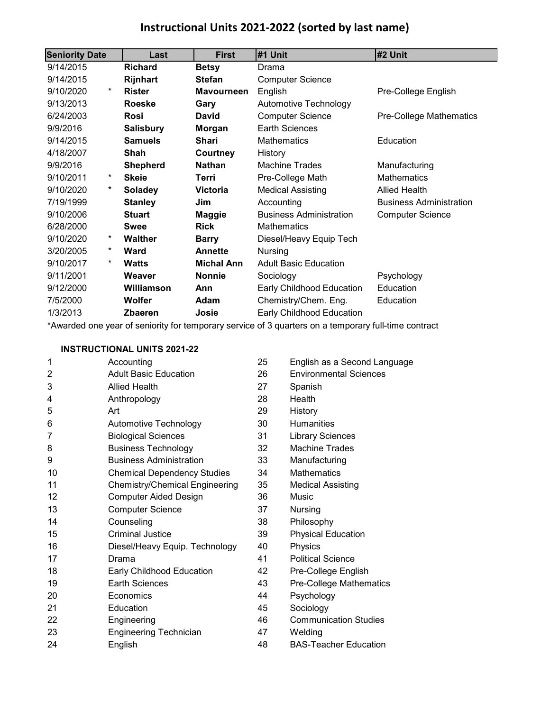### **Instructional Units 2021-2022 (sorted by last name)**

| <b>Seniority Date</b> | Last             | <b>First</b>      | #1 Unit                        | #2 Unit                        |
|-----------------------|------------------|-------------------|--------------------------------|--------------------------------|
| 9/14/2015             | <b>Richard</b>   | <b>Betsy</b>      | Drama                          |                                |
| 9/14/2015             | Rijnhart         | <b>Stefan</b>     | <b>Computer Science</b>        |                                |
| $^\star$<br>9/10/2020 | <b>Rister</b>    | <b>Mavourneen</b> | English                        | Pre-College English            |
| 9/13/2013             | <b>Roeske</b>    | Gary              | Automotive Technology          |                                |
| 6/24/2003             | <b>Rosi</b>      | David             | <b>Computer Science</b>        | Pre-College Mathematics        |
| 9/9/2016              | <b>Salisbury</b> | Morgan            | Earth Sciences                 |                                |
| 9/14/2015             | <b>Samuels</b>   | <b>Shari</b>      | Mathematics                    | Education                      |
| 4/18/2007             | Shah             | Courtney          | History                        |                                |
| 9/9/2016              | <b>Shepherd</b>  | <b>Nathan</b>     | <b>Machine Trades</b>          | Manufacturing                  |
| 9/10/2011<br>*        | <b>Skeie</b>     | Terri             | Pre-College Math               | <b>Mathematics</b>             |
| $^\star$<br>9/10/2020 | <b>Soladey</b>   | <b>Victoria</b>   | <b>Medical Assisting</b>       | <b>Allied Health</b>           |
| 7/19/1999             | <b>Stanley</b>   | Jim               | Accounting                     | <b>Business Administration</b> |
| 9/10/2006             | <b>Stuart</b>    | <b>Maggie</b>     | <b>Business Administration</b> | <b>Computer Science</b>        |
| 6/28/2000             | <b>Swee</b>      | <b>Rick</b>       | <b>Mathematics</b>             |                                |
| 9/10/2020<br>*        | <b>Walther</b>   | <b>Barry</b>      | Diesel/Heavy Equip Tech        |                                |
| *<br>3/20/2005        | <b>Ward</b>      | <b>Annette</b>    | <b>Nursing</b>                 |                                |
| $^\star$<br>9/10/2017 | <b>Watts</b>     | <b>Michal Ann</b> | <b>Adult Basic Education</b>   |                                |
| 9/11/2001             | Weaver           | <b>Nonnie</b>     | Sociology                      | Psychology                     |
| 9/12/2000             | Williamson       | Ann               | Early Childhood Education      | Education                      |
| 7/5/2000              | Wolfer           | Adam              | Chemistry/Chem. Eng.           | Education                      |
| 1/3/2013              | <b>Zbaeren</b>   | Josie             | Early Childhood Education      |                                |

\*Awarded one year of seniority for temporary service of 3 quarters on a temporary full-time contract

#### **INSTRUCTIONAL UNITS 2021-22**

| 1  | Accounting                            | 25 | English as a Second Language  |
|----|---------------------------------------|----|-------------------------------|
| 2  | <b>Adult Basic Education</b>          | 26 | <b>Environmental Sciences</b> |
| 3  | <b>Allied Health</b>                  | 27 | Spanish                       |
| 4  | Anthropology                          | 28 | Health                        |
| 5  | Art                                   | 29 | History                       |
| 6  | Automotive Technology                 | 30 | <b>Humanities</b>             |
| 7  | <b>Biological Sciences</b>            | 31 | <b>Library Sciences</b>       |
| 8  | <b>Business Technology</b>            | 32 | <b>Machine Trades</b>         |
| 9  | <b>Business Administration</b>        | 33 | Manufacturing                 |
| 10 | <b>Chemical Dependency Studies</b>    | 34 | <b>Mathematics</b>            |
| 11 | <b>Chemistry/Chemical Engineering</b> | 35 | <b>Medical Assisting</b>      |
| 12 | <b>Computer Aided Design</b>          | 36 | <b>Music</b>                  |
| 13 | <b>Computer Science</b>               | 37 | <b>Nursing</b>                |
| 14 | Counseling                            | 38 | Philosophy                    |
| 15 | Criminal Justice                      | 39 | <b>Physical Education</b>     |
| 16 | Diesel/Heavy Equip. Technology        | 40 | Physics                       |
| 17 | Drama                                 | 41 | <b>Political Science</b>      |
| 18 | <b>Early Childhood Education</b>      | 42 | Pre-College English           |
| 19 | <b>Earth Sciences</b>                 | 43 | Pre-College Mathematics       |
| 20 | Economics                             | 44 | Psychology                    |
| 21 | Education                             | 45 | Sociology                     |
| 22 | Engineering                           | 46 | <b>Communication Studies</b>  |
| 23 | <b>Engineering Technician</b>         | 47 | Welding                       |
| 24 | English                               | 48 | <b>BAS-Teacher Education</b>  |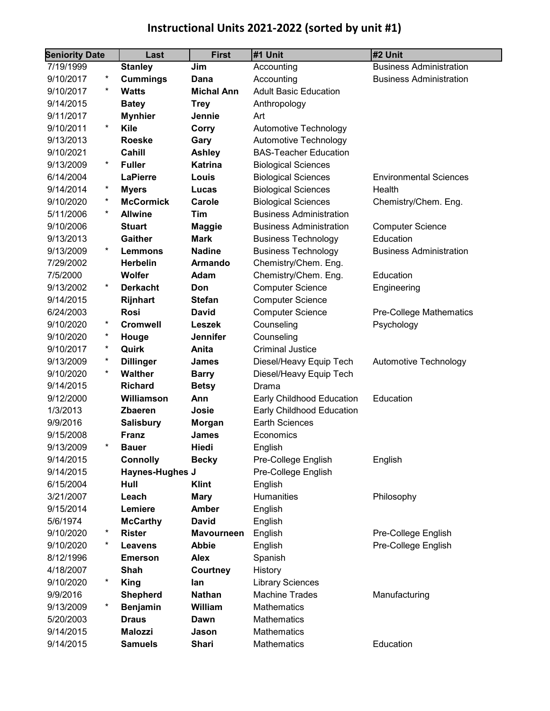# **Instructional Units 2021-2022 (sorted by unit #1)**

| <b>Seniority Date</b> |            | Last             | <b>First</b>      | #1 Unit                        | #2 Unit                        |  |
|-----------------------|------------|------------------|-------------------|--------------------------------|--------------------------------|--|
| 7/19/1999             |            | <b>Stanley</b>   | Jim               | Accounting                     | <b>Business Administration</b> |  |
| 9/10/2017             | $^{\ast}$  | <b>Cummings</b>  | Dana              | Accounting                     | <b>Business Administration</b> |  |
| 9/10/2017             | $^\star$   | <b>Watts</b>     | <b>Michal Ann</b> | <b>Adult Basic Education</b>   |                                |  |
| 9/14/2015             |            | <b>Batey</b>     | <b>Trey</b>       | Anthropology                   |                                |  |
| 9/11/2017             |            | <b>Mynhier</b>   | Jennie            | Art                            |                                |  |
| 9/10/2011             | *          | Kile             | Corry             | Automotive Technology          |                                |  |
| 9/13/2013             |            | <b>Roeske</b>    | Gary              | Automotive Technology          |                                |  |
| 9/10/2021             |            | Cahill           | <b>Ashley</b>     | <b>BAS-Teacher Education</b>   |                                |  |
| 9/13/2009             | $\ast$     | <b>Fuller</b>    | <b>Katrina</b>    | <b>Biological Sciences</b>     |                                |  |
| 6/14/2004             |            | <b>LaPierre</b>  | Louis             | <b>Biological Sciences</b>     | <b>Environmental Sciences</b>  |  |
| 9/14/2014             | *          | <b>Myers</b>     | Lucas             | <b>Biological Sciences</b>     | Health                         |  |
| 9/10/2020             | $^{\star}$ | <b>McCormick</b> | Carole            | <b>Biological Sciences</b>     | Chemistry/Chem. Eng.           |  |
| 5/11/2006             | $^\star$   | <b>Allwine</b>   | Tim               | <b>Business Administration</b> |                                |  |
| 9/10/2006             |            | <b>Stuart</b>    | <b>Maggie</b>     | <b>Business Administration</b> | <b>Computer Science</b>        |  |
| 9/13/2013             |            | <b>Gaither</b>   | <b>Mark</b>       | <b>Business Technology</b>     | Education                      |  |
| 9/13/2009             | $^\star$   | <b>Lemmons</b>   | <b>Nadine</b>     | <b>Business Technology</b>     | <b>Business Administration</b> |  |
| 7/29/2002             |            | <b>Herbelin</b>  | <b>Armando</b>    | Chemistry/Chem. Eng.           |                                |  |
| 7/5/2000              |            | Wolfer           | Adam              | Chemistry/Chem. Eng.           | Education                      |  |
| 9/13/2002             | $\ast$     | <b>Derkacht</b>  | Don               | <b>Computer Science</b>        | Engineering                    |  |
| 9/14/2015             |            | Rijnhart         | <b>Stefan</b>     | <b>Computer Science</b>        |                                |  |
| 6/24/2003             |            | <b>Rosi</b>      | <b>David</b>      | <b>Computer Science</b>        | Pre-College Mathematics        |  |
| 9/10/2020             | $^\star$   | <b>Cromwell</b>  | <b>Leszek</b>     | Counseling                     | Psychology                     |  |
| 9/10/2020             | $^{\ast}$  | Houge            | <b>Jennifer</b>   | Counseling                     |                                |  |
| 9/10/2017             | *          | Quirk            | Anita             | <b>Criminal Justice</b>        |                                |  |
| 9/13/2009             | *          | <b>Dillinger</b> | <b>James</b>      | Diesel/Heavy Equip Tech        | Automotive Technology          |  |
| 9/10/2020             | $^\star$   | <b>Walther</b>   | <b>Barry</b>      | Diesel/Heavy Equip Tech        |                                |  |
| 9/14/2015             |            | <b>Richard</b>   | <b>Betsy</b>      | Drama                          |                                |  |
| 9/12/2000             |            | Williamson       | Ann               | Early Childhood Education      | Education                      |  |
| 1/3/2013              |            | <b>Zbaeren</b>   | Josie             | Early Childhood Education      |                                |  |
| 9/9/2016              |            | <b>Salisbury</b> | <b>Morgan</b>     | <b>Earth Sciences</b>          |                                |  |
| 9/15/2008             |            | <b>Franz</b>     | James             | Economics                      |                                |  |
| 9/13/2009             |            | <b>Bauer</b>     | Hiedi             | English                        |                                |  |
| 9/14/2015             |            | <b>Connolly</b>  | <b>Becky</b>      | Pre-College English            | English                        |  |
| 9/14/2015             |            | Haynes-Hughes J  |                   | Pre-College English            |                                |  |
| 6/15/2004             |            | Hull             | <b>Klint</b>      | English                        |                                |  |
| 3/21/2007             |            | Leach            | <b>Mary</b>       | <b>Humanities</b>              | Philosophy                     |  |
| 9/15/2014             |            | Lemiere          | <b>Amber</b>      | English                        |                                |  |
| 5/6/1974              |            | <b>McCarthy</b>  | <b>David</b>      | English                        |                                |  |
| 9/10/2020             | *          | <b>Rister</b>    | Mavourneen        | English                        | Pre-College English            |  |
| 9/10/2020             | *          | <b>Leavens</b>   | <b>Abbie</b>      | English                        | Pre-College English            |  |
| 8/12/1996             |            | <b>Emerson</b>   | <b>Alex</b>       | Spanish                        |                                |  |
| 4/18/2007             |            | Shah             | Courtney          | History                        |                                |  |
| 9/10/2020             | $^\star$   | <b>King</b>      | lan               | <b>Library Sciences</b>        |                                |  |
| 9/9/2016              |            | <b>Shepherd</b>  | <b>Nathan</b>     | <b>Machine Trades</b>          | Manufacturing                  |  |
| 9/13/2009             | *          | <b>Benjamin</b>  | William           | <b>Mathematics</b>             |                                |  |
| 5/20/2003             |            | <b>Draus</b>     | Dawn              | Mathematics                    |                                |  |
| 9/14/2015             |            | <b>Malozzi</b>   | Jason             | Mathematics                    |                                |  |
| 9/14/2015             |            | <b>Samuels</b>   | <b>Shari</b>      | Mathematics                    | Education                      |  |